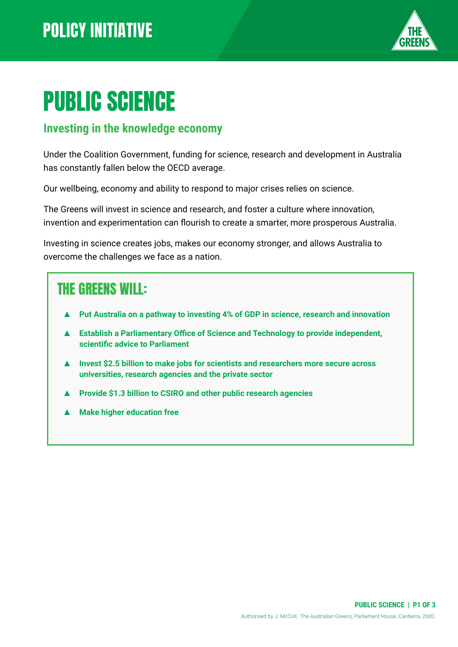

# PUBLIC SCIENCE

#### **Investing in the knowledge economy**

Under the Coalition Government, funding for science, research and development in Australia has constantly fallen below the OECD average.

Our wellbeing, economy and ability to respond to major crises relies on science.

The Greens will invest in science and research, and foster a culture where innovation, invention and experimentation can flourish to create a smarter, more prosperous Australia.

Investing in science creates jobs, makes our economy stronger, and allows Australia to overcome the challenges we face as a nation.

#### THE GREENS WILL:

- Put Australia on a pathway to investing 4% of GDP in science, research and innovation
- **Establish a Parliamentary Office of Science and Technology to provide independent, scientific advice to Parliament**
- **▲ Invest \$2.5 billion to make jobs for scientists and researchers more secure across universities, research agencies and the private sector**
- **▲ Provide \$1.3 billion to CSIRO and other public research agencies**
- **Make higher education free**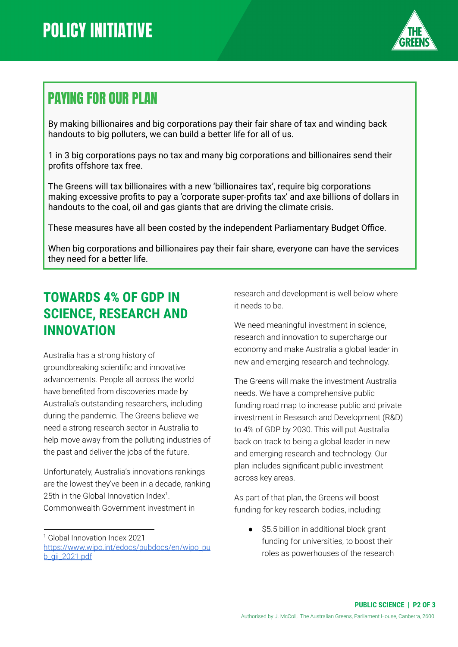

### PAYING FOR OUR PLAN

By making billionaires and big corporations pay their fair share of tax and winding back handouts to big polluters, we can build a better life for all of us.

1 in 3 big corporations pays no tax and many big corporations and billionaires send their profits offshore tax free.

The Greens will tax billionaires with a new 'billionaires tax', require big corporations making excessive profits to pay a 'corporate super-profits tax' and axe billions of dollars in handouts to the coal, oil and gas giants that are driving the climate crisis.

These measures have all been costed by the independent Parliamentary Budget Office.

When big corporations and billionaires pay their fair share, everyone can have the services they need for a better life.

#### **TOWARDS 4% OF GDP IN SCIENCE, RESEARCH AND INNOVATION**

Australia has a strong history of groundbreaking scientific and innovative advancements. People all across the world have benefited from discoveries made by Australia's outstanding researchers, including during the pandemic. The Greens believe we need a strong research sector in Australia to help move away from the polluting industries of the past and deliver the jobs of the future.

Unfortunately, Australia's innovations rankings are the lowest they've been in a decade, ranking 25th in the Global Innovation Index<sup>1</sup>. Commonwealth Government investment in

research and development is well below where it needs to be.

We need meaningful investment in science, research and innovation to supercharge our economy and make Australia a global leader in new and emerging research and technology.

The Greens will make the investment Australia needs. We have a comprehensive public funding road map to increase public and private investment in Research and Development (R&D) to 4% of GDP by 2030. This will put Australia back on track to being a global leader in new and emerging research and technology. Our plan includes significant public investment across key areas.

As part of that plan, the Greens will boost funding for key research bodies, including:

\$5.5 billion in additional block grant funding for universities, to boost their roles as powerhouses of the research

<sup>1</sup> Global Innovation Index 2021 [https://www.wipo.int/edocs/pubdocs/en/wipo\\_pu](https://www.wipo.int/edocs/pubdocs/en/wipo_pub_gii_2021.pdf) [b\\_gii\\_2021.pdf](https://www.wipo.int/edocs/pubdocs/en/wipo_pub_gii_2021.pdf)